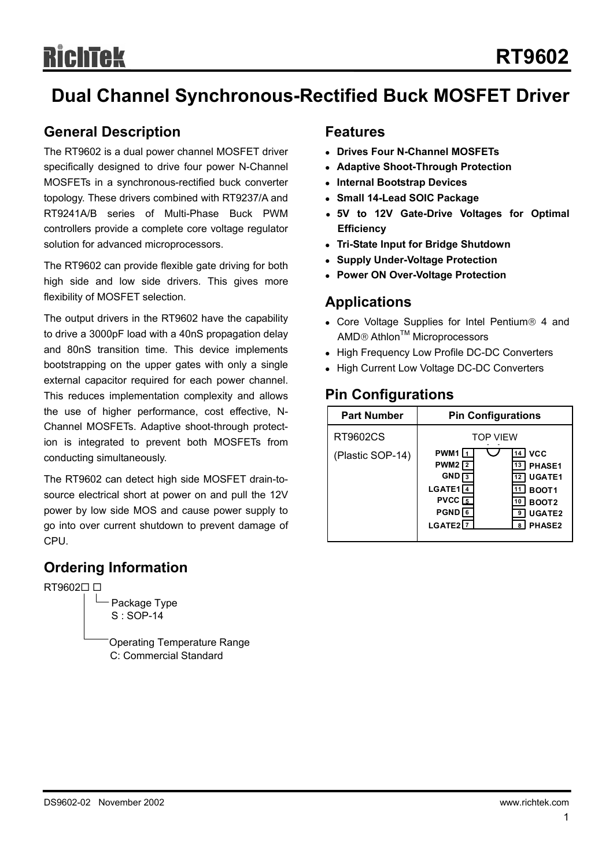## **Dual Channel Synchronous-Rectified Buck MOSFET Driver**

#### **General Description**

The RT9602 is a dual power channel MOSFET driver specifically designed to drive four power N-Channel MOSFETs in a synchronous-rectified buck converter topology. These drivers combined with RT9237/A and RT9241A/B series of Multi-Phase Buck PWM controllers provide a complete core voltage regulator solution for advanced microprocessors.

The RT9602 can provide flexible gate driving for both high side and low side drivers. This gives more flexibility of MOSFET selection.

The output drivers in the RT9602 have the capability to drive a 3000pF load with a 40nS propagation delay and 80nS transition time. This device implements bootstrapping on the upper gates with only a single external capacitor required for each power channel. This reduces implementation complexity and allows the use of higher performance, cost effective, N-Channel MOSFETs. Adaptive shoot-through protection is integrated to prevent both MOSFETs from conducting simultaneously.

The RT9602 can detect high side MOSFET drain-tosource electrical short at power on and pull the 12V power by low side MOS and cause power supply to go into over current shutdown to prevent damage of CPU.

### **Ordering Information**

RT96020<sub>D</sub>

Package Type S : SOP-14

Operating Temperature Range C: Commercial Standard

#### **Features**

- <sup>z</sup>**Drives Four N-Channel MOSFETs**
- <sup>z</sup>**Adaptive Shoot-Through Protection**
- <sup>z</sup>**Internal Bootstrap Devices**
- <sup>z</sup>**Small 14-Lead SOIC Package**
- <sup>z</sup>**5V to 12V Gate-Drive Voltages for Optimal Efficiency**
- <sup>z</sup>**Tri-State Input for Bridge Shutdown**
- **Supply Under-Voltage Protection**
- <sup>z</sup>**Power ON Over-Voltage Protection**

#### **Applications**

- Core Voltage Supplies for Intel Pentium<sup>®</sup> 4 and AMD<sup>®</sup> Athlon<sup>™</sup> Microprocessors
- High Frequency Low Profile DC-DC Converters
- High Current Low Voltage DC-DC Converters

#### **Pin Configurations**

| <b>Part Number</b> | <b>Pin Configurations</b>                                                                                           |                                                                                                                                  |  |  |
|--------------------|---------------------------------------------------------------------------------------------------------------------|----------------------------------------------------------------------------------------------------------------------------------|--|--|
| RT9602CS           | <b>TOP VIEW</b>                                                                                                     |                                                                                                                                  |  |  |
| (Plastic SOP-14)   | PWM <sub>1</sub><br>PWM2 <b>[</b><br><b>GND</b><br>LGATE1<br><b>PVCC</b> $\sqrt{5}$<br>PGNDF<br>LGATE2 <sub>7</sub> | <b>VCC</b><br>14<br>PHASE1<br>UGATE1<br>BOOT <sub>1</sub><br>BOOT <sub>2</sub><br>10<br>UGATE <sub>2</sub><br><b>PHASE2</b><br>8 |  |  |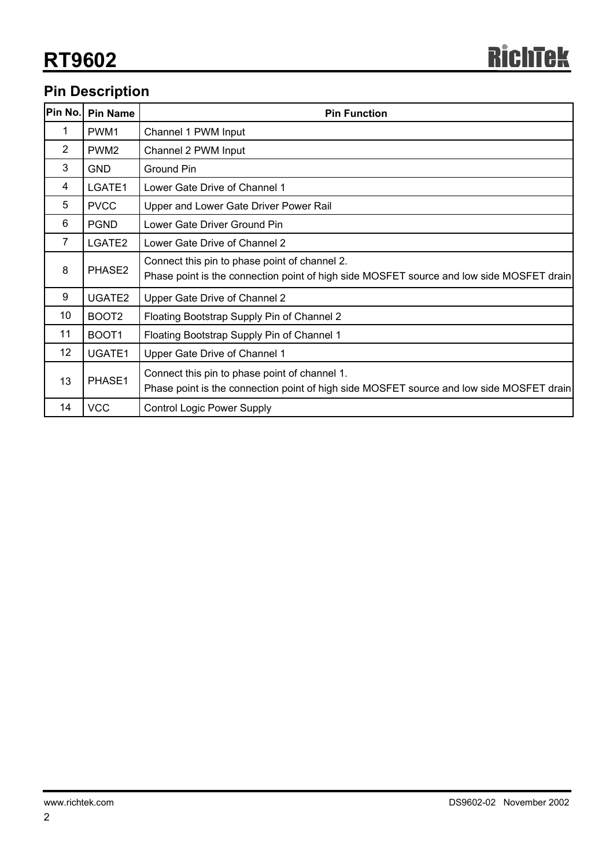## **Pin Description**

| Pin No.        | <b>Pin Name</b>    | <b>Pin Function</b>                                                                                                                       |
|----------------|--------------------|-------------------------------------------------------------------------------------------------------------------------------------------|
| 1              | PWM1               | Channel 1 PWM Input                                                                                                                       |
| $\overline{2}$ | PWM <sub>2</sub>   | Channel 2 PWM Input                                                                                                                       |
| 3              | <b>GND</b>         | Ground Pin                                                                                                                                |
| 4              | LGATE1             | Lower Gate Drive of Channel 1                                                                                                             |
| 5              | <b>PVCC</b>        | Upper and Lower Gate Driver Power Rail                                                                                                    |
| 6              | <b>PGND</b>        | Lower Gate Driver Ground Pin                                                                                                              |
| $\overline{7}$ | LGATE2             | Lower Gate Drive of Channel 2                                                                                                             |
| 8              | PHASE <sub>2</sub> | Connect this pin to phase point of channel 2.<br>Phase point is the connection point of high side MOSFET source and low side MOSFET drain |
| 9              | UGATE2             | Upper Gate Drive of Channel 2                                                                                                             |
| 10             | BOOT <sub>2</sub>  | Floating Bootstrap Supply Pin of Channel 2                                                                                                |
| 11             | BOOT <sub>1</sub>  | Floating Bootstrap Supply Pin of Channel 1                                                                                                |
| 12             | UGATE1             | Upper Gate Drive of Channel 1                                                                                                             |
| 13             | PHASE1             | Connect this pin to phase point of channel 1.<br>Phase point is the connection point of high side MOSFET source and low side MOSFET drain |
| 14             | <b>VCC</b>         | <b>Control Logic Power Supply</b>                                                                                                         |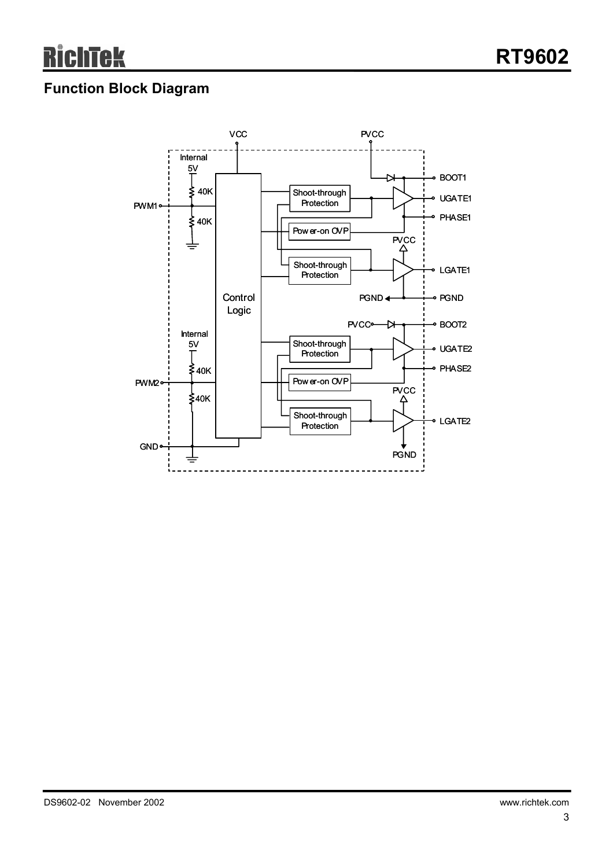## **Function Block Diagram**

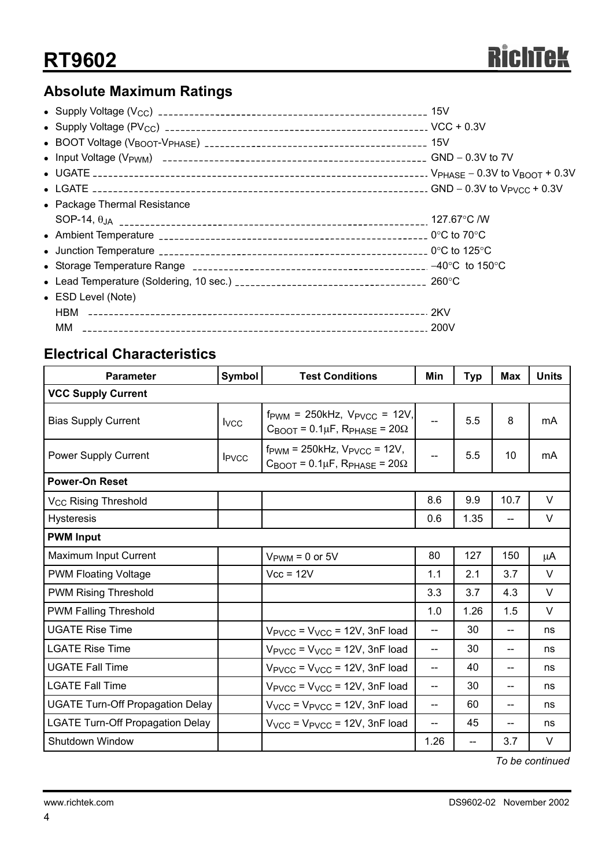## **Absolute Maximum Ratings**

| • Package Thermal Resistance |  |
|------------------------------|--|
|                              |  |
|                              |  |
|                              |  |
|                              |  |
|                              |  |
| • ESD Level (Note)           |  |
|                              |  |
|                              |  |

## **Electrical Characteristics**

| <b>Parameter</b>                        | <b>Symbol</b>            | <b>Test Conditions</b>                                                                                             | Min                      | <b>Typ</b> | Max                      | <b>Units</b> |
|-----------------------------------------|--------------------------|--------------------------------------------------------------------------------------------------------------------|--------------------------|------------|--------------------------|--------------|
| <b>VCC Supply Current</b>               |                          |                                                                                                                    |                          |            |                          |              |
| <b>Bias Supply Current</b>              | <b>I</b> vcc             | $f_{\text{PWM}}$ = 250kHz, $V_{\text{PVCC}}$ = 12V,<br>$C_{\text{BOOT}}$ = 0.1µF, R <sub>PHASE</sub> = 20 $\Omega$ | --                       | 5.5        | 8                        | mA           |
| <b>Power Supply Current</b>             | <b>I</b> <sub>PVCC</sub> | $f_{\text{PWM}}$ = 250kHz, $V_{\text{PVCC}}$ = 12V,<br>$C_{\text{BOOT}}$ = 0.1µF, R <sub>PHASE</sub> = 20 $\Omega$ | --                       | 5.5        | 10                       | mA           |
| <b>Power-On Reset</b>                   |                          |                                                                                                                    |                          |            |                          |              |
| V <sub>CC</sub> Rising Threshold        |                          |                                                                                                                    | 8.6                      | 9.9        | 10.7                     | V            |
| <b>Hysteresis</b>                       |                          |                                                                                                                    | 0.6                      | 1.35       | $\overline{\phantom{a}}$ | V            |
| <b>PWM Input</b>                        |                          |                                                                                                                    |                          |            |                          |              |
| Maximum Input Current                   |                          | $V_{\text{PWM}} = 0$ or 5V                                                                                         | 80                       | 127        | 150                      | μA           |
| <b>PWM Floating Voltage</b>             |                          | $Vcc = 12V$                                                                                                        | 1.1                      | 2.1        | 3.7                      | $\vee$       |
| <b>PWM Rising Threshold</b>             |                          |                                                                                                                    | 3.3                      | 3.7        | 4.3                      | $\vee$       |
| <b>PWM Falling Threshold</b>            |                          |                                                                                                                    | 1.0                      | 1.26       | 1.5                      | $\vee$       |
| <b>UGATE Rise Time</b>                  |                          | $V_{\text{PVCC}}$ = $V_{\text{VCC}}$ = 12V, 3nF load                                                               | $\overline{\phantom{a}}$ | 30         | $- -$                    | ns           |
| <b>LGATE Rise Time</b>                  |                          | $V_{\text{PVCC}}$ = $V_{\text{VCC}}$ = 12V, 3nF load                                                               | --                       | 30         | --                       | ns           |
| <b>UGATE Fall Time</b>                  |                          | $V_{\text{PVCC}}$ = $V_{\text{VCC}}$ = 12V, 3nF load                                                               | $\overline{\phantom{a}}$ | 40         | $\overline{\phantom{a}}$ | ns           |
| <b>LGATE Fall Time</b>                  |                          | $V_{\text{PVCC}}$ = $V_{\text{VCC}}$ = 12V, 3nF load                                                               | $-$                      | 30         | --                       | ns           |
| <b>UGATE Turn-Off Propagation Delay</b> |                          | $V_{VCC}$ = $V_{PVCC}$ = 12V, 3nF load                                                                             | $\overline{\phantom{a}}$ | 60         | $-$                      | ns           |
| <b>LGATE Turn-Off Propagation Delay</b> |                          | $V_{VCC}$ = $V_{PVCC}$ = 12V, 3nF load                                                                             | --                       | 45         | --                       | ns           |
| Shutdown Window                         |                          |                                                                                                                    | 1.26                     | $-$        | 3.7                      | V            |

*To be continued*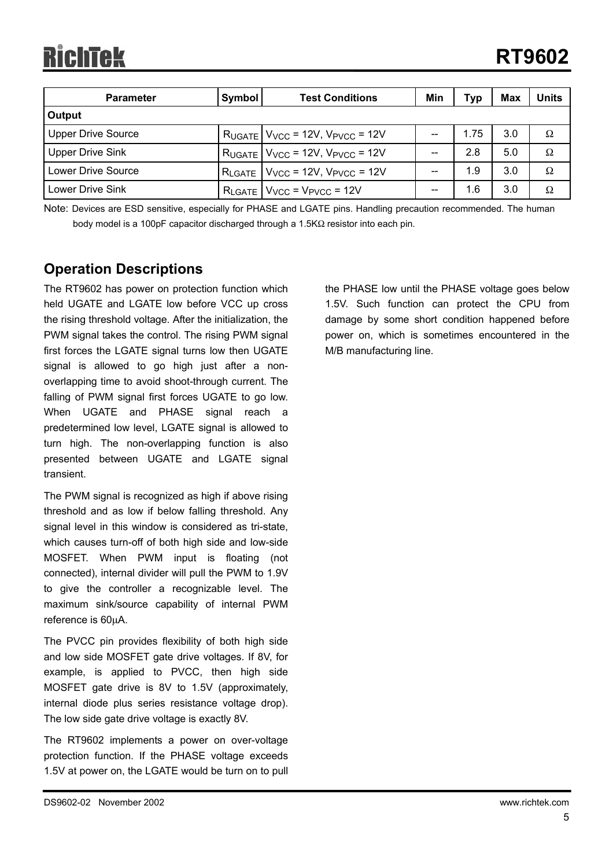| <b>Parameter</b>          | <b>Symbol</b> | <b>Test Conditions</b>                                          | Min   | Typ  | <b>Max</b> | <b>Units</b> |
|---------------------------|---------------|-----------------------------------------------------------------|-------|------|------------|--------------|
| <b>Output</b>             |               |                                                                 |       |      |            |              |
| <b>Upper Drive Source</b> |               | $R_{UGATE}$ $V_{VCC}$ = 12V, $V_{PVCC}$ = 12V                   | --    | 1.75 | 3.0        | Ω            |
| <b>Upper Drive Sink</b>   |               | $R_{UGATE}$   $V_{VCC}$ = 12V, $V_{PVCC}$ = 12V                 | --    | 2.8  | 5.0        | Ω            |
| Lower Drive Source        |               | $R_{LGATE}$   $V_{VCC}$ = 12V, $V_{PVCC}$ = 12V                 | $- -$ | 1.9  | 3.0        | Ω            |
| Lower Drive Sink          |               | $R_{\text{LGATE}}$   $V_{\text{VCC}}$ = $V_{\text{PVCC}}$ = 12V | --    | 1.6  | 3.0        | Ω            |

Note: Devices are ESD sensitive, especially for PHASE and LGATE pins. Handling precaution recommended. The human body model is a 100pF capacitor discharged through a 1.5KΩ resistor into each pin.

#### **Operation Descriptions**

The RT9602 has power on protection function which held UGATE and LGATE low before VCC up cross the rising threshold voltage. After the initialization, the PWM signal takes the control. The rising PWM signal first forces the LGATE signal turns low then UGATE signal is allowed to go high just after a nonoverlapping time to avoid shoot-through current. The falling of PWM signal first forces UGATE to go low. When UGATE and PHASE signal reach a predetermined low level, LGATE signal is allowed to turn high. The non-overlapping function is also presented between UGATE and LGATE signal transient.

The PWM signal is recognized as high if above rising threshold and as low if below falling threshold. Any signal level in this window is considered as tri-state. which causes turn-off of both high side and low-side MOSFET. When PWM input is floating (not connected), internal divider will pull the PWM to 1.9V to give the controller a recognizable level. The maximum sink/source capability of internal PWM reference is 60µA.

The PVCC pin provides flexibility of both high side and low side MOSFET gate drive voltages. If 8V, for example, is applied to PVCC, then high side MOSFET gate drive is 8V to 1.5V (approximately, internal diode plus series resistance voltage drop). The low side gate drive voltage is exactly 8V.

The RT9602 implements a power on over-voltage protection function. If the PHASE voltage exceeds 1.5V at power on, the LGATE would be turn on to pull the PHASE low until the PHASE voltage goes below 1.5V. Such function can protect the CPU from damage by some short condition happened before power on, which is sometimes encountered in the M/B manufacturing line.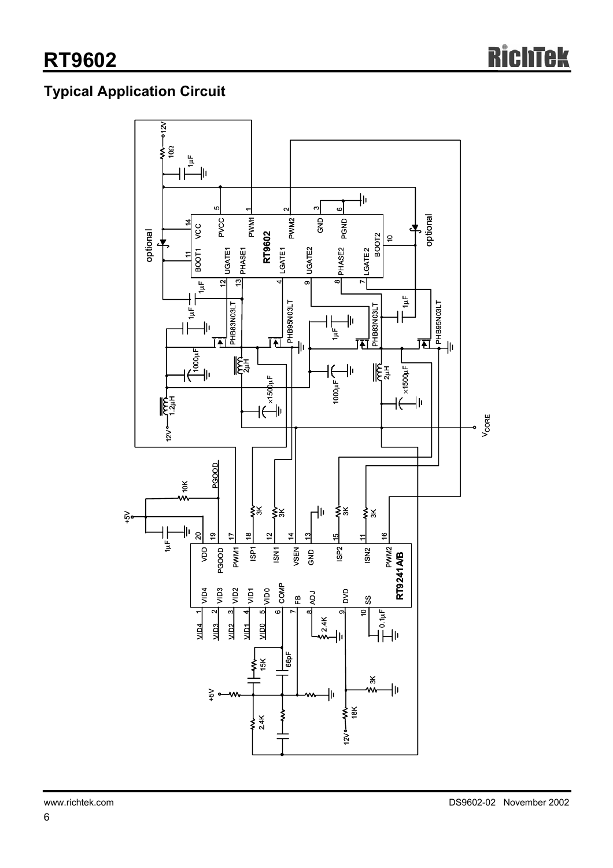## **Typical Application Circuit**

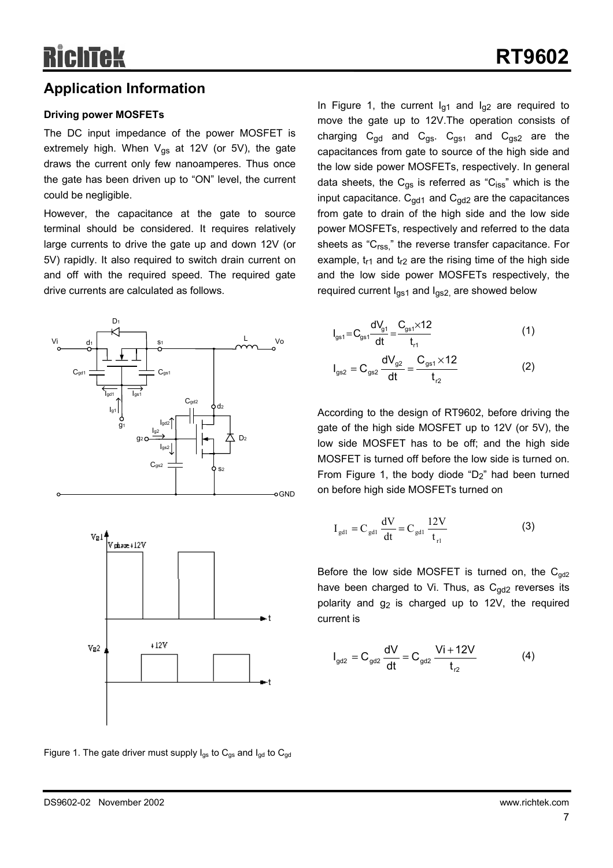## **Application Information**

#### **Driving power MOSFETs**

The DC input impedance of the power MOSFET is extremely high. When  $V_{qs}$  at 12V (or 5V), the gate draws the current only few nanoamperes. Thus once the gate has been driven up to "ON" level, the current could be negligible.

However, the capacitance at the gate to source terminal should be considered. It requires relatively large currents to drive the gate up and down 12V (or 5V) rapidly. It also required to switch drain current on and off with the required speed. The required gate drive currents are calculated as follows.

![](_page_6_Figure_5.jpeg)

![](_page_6_Figure_6.jpeg)

In Figure 1, the current  $I_{g1}$  and  $I_{g2}$  are required to move the gate up to 12V.The operation consists of charging  $C_{gd}$  and  $C_{gs}$ .  $C_{gs1}$  and  $C_{gs2}$  are the capacitances from gate to source of the high side and the low side power MOSFETs, respectively. In general data sheets, the  $C_{gs}$  is referred as " $C_{iss}$ " which is the input capacitance.  $C_{gd1}$  and  $C_{gd2}$  are the capacitances from gate to drain of the high side and the low side power MOSFETs, respectively and referred to the data sheets as " $C_{\text{rss}}$ " the reverse transfer capacitance. For example,  $t_{r1}$  and  $t_{r2}$  are the rising time of the high side and the low side power MOSFETs respectively, the required current  $I_{qs1}$  and  $I_{qs2}$  are showed below

$$
I_{gs1} = C_{gs1} \frac{dV_{g1}}{dt} = \frac{C_{gs1} \times 12}{t_{r1}}
$$
 (1)

$$
I_{gs2} = C_{gs2} \frac{dV_{g2}}{dt} = \frac{C_{gs1} \times 12}{t_{r2}}
$$
 (2)

According to the design of RT9602, before driving the gate of the high side MOSFET up to 12V (or 5V), the low side MOSFET has to be off; and the high side MOSFET is turned off before the low side is turned on. From Figure 1, the body diode " $D_2$ " had been turned on before high side MOSFETs turned on

$$
I_{\rm gal} = C_{\rm gal} \frac{dV}{dt} = C_{\rm gal} \frac{12V}{t_{\rm rl}}
$$
 (3)

Before the low side MOSFET is turned on, the  $C_{qd2}$ have been charged to Vi. Thus, as  $C_{qd2}$  reverses its polarity and  $g_2$  is charged up to 12V, the required current is

$$
I_{gdz} = C_{gdz} \frac{dV}{dt} = C_{gdz} \frac{Vi + 12V}{t_{r2}}
$$
 (4)

Figure 1. The gate driver must supply  $I_{gs}$  to  $C_{gs}$  and  $I_{gd}$  to  $C_{gd}$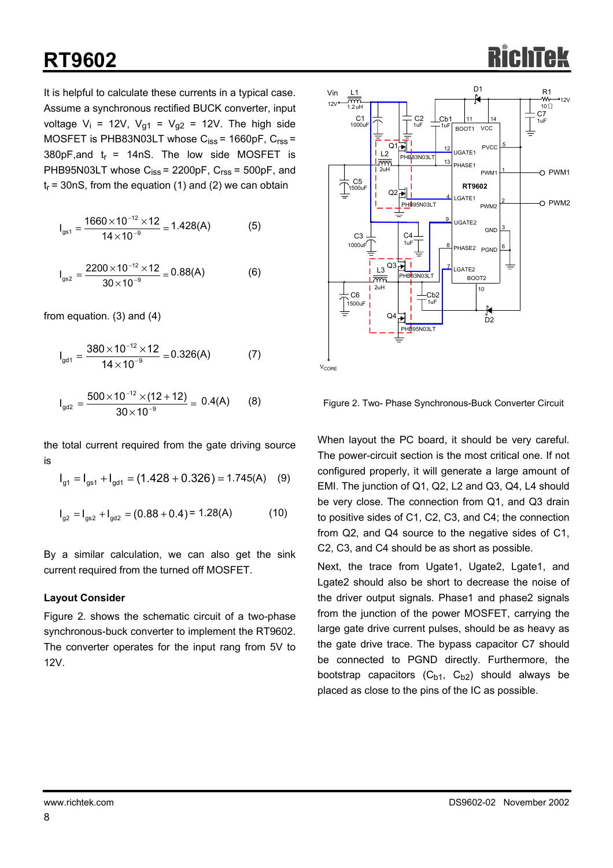## **RT9602**

It is helpful to calculate these currents in a typical case. Assume a synchronous rectified BUCK converter, input voltage  $V_i$  = 12V,  $V_{g1}$  =  $V_{g2}$  = 12V. The high side MOSFET is PHB83N03LT whose C<sub>iss</sub> = 1660pF, C<sub>rss</sub> = 380pF, and  $t_r = 14$ nS. The low side MOSFET is PHB95N03LT whose C<sub>iss</sub> = 2200pF, C<sub>rss</sub> = 500pF, and  $t_r$  = 30nS, from the equation (1) and (2) we can obtain

$$
I_{gs1} = \frac{1660 \times 10^{-12} \times 12}{14 \times 10^{-9}} = 1.428(A)
$$
 (5)

$$
I_{gs2} = \frac{2200 \times 10^{-12} \times 12}{30 \times 10^{-9}} = 0.88(A)
$$
 (6)

from equation. (3) and (4)

$$
I_{\text{gdd}} = \frac{380 \times 10^{-12} \times 12}{14 \times 10^{-9}} = 0.326 \text{(A)} \tag{7}
$$

$$
I_{\text{gd2}} = \frac{500 \times 10^{-12} \times (12 + 12)}{30 \times 10^{-9}} = 0.4 \text{(A)} \qquad \text{(8)}
$$

the total current required from the gate driving source is

$$
I_{g1} = I_{g1} + I_{gd1} = (1.428 + 0.326) = 1.745(A)
$$
 (9)

$$
I_{g2} = I_{g52} + I_{gd2} = (0.88 + 0.4) = 1.28(A)
$$
 (10)

By a similar calculation, we can also get the sink current required from the turned off MOSFET.

#### **Layout Consider**

Figure 2. shows the schematic circuit of a two-phase synchronous-buck converter to implement the RT9602. The converter operates for the input rang from 5V to 12V.

![](_page_7_Figure_13.jpeg)

Figure 2. Two- Phase Synchronous-Buck Converter Circuit

When layout the PC board, it should be very careful. The power-circuit section is the most critical one. If not configured properly, it will generate a large amount of EMI. The junction of Q1, Q2, L2 and Q3, Q4, L4 should be very close. The connection from Q1, and Q3 drain to positive sides of C1, C2, C3, and C4; the connection from Q2, and Q4 source to the negative sides of C1, C2, C3, and C4 should be as short as possible.

Next, the trace from Ugate1, Ugate2, Lgate1, and Lgate2 should also be short to decrease the noise of the driver output signals. Phase1 and phase2 signals from the junction of the power MOSFET, carrying the large gate drive current pulses, should be as heavy as the gate drive trace. The bypass capacitor C7 should be connected to PGND directly. Furthermore, the bootstrap capacitors  $(C_{b1}, C_{b2})$  should always be placed as close to the pins of the IC as possible.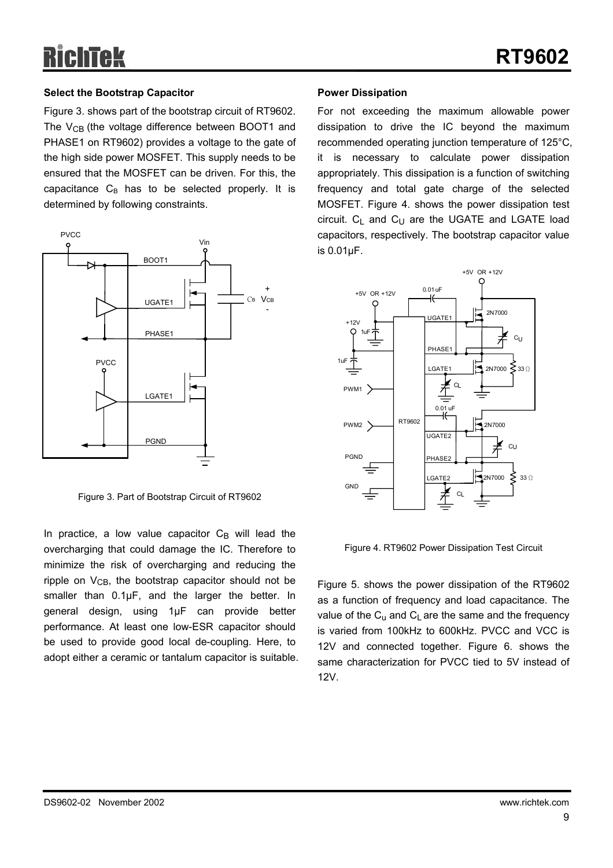#### **Select the Bootstrap Capacitor**

Figure 3. shows part of the bootstrap circuit of RT9602. The  $V_{CB}$  (the voltage difference between BOOT1 and PHASE1 on RT9602) provides a voltage to the gate of the high side power MOSFET. This supply needs to be ensured that the MOSFET can be driven. For this, the capacitance  $C_B$  has to be selected properly. It is determined by following constraints.

![](_page_8_Figure_4.jpeg)

Figure 3. Part of Bootstrap Circuit of RT9602

In practice, a low value capacitor  $C_B$  will lead the overcharging that could damage the IC. Therefore to minimize the risk of overcharging and reducing the ripple on  $V_{CB}$ , the bootstrap capacitor should not be smaller than 0.1µF, and the larger the better. In general design, using 1µF can provide better performance. At least one low-ESR capacitor should be used to provide good local de-coupling. Here, to adopt either a ceramic or tantalum capacitor is suitable.

#### **Power Dissipation**

For not exceeding the maximum allowable power dissipation to drive the IC beyond the maximum recommended operating junction temperature of 125°C, it is necessary to calculate power dissipation appropriately. This dissipation is a function of switching frequency and total gate charge of the selected MOSFET. Figure 4. shows the power dissipation test circuit.  $C_L$  and  $C_U$  are the UGATE and LGATE load capacitors, respectively. The bootstrap capacitor value is 0.01µF.

![](_page_8_Figure_9.jpeg)

Figure 4. RT9602 Power Dissipation Test Circuit

Figure 5. shows the power dissipation of the RT9602 as a function of frequency and load capacitance. The value of the  $C_{\text{u}}$  and  $C_{\text{l}}$  are the same and the frequency is varied from 100kHz to 600kHz. PVCC and VCC is 12V and connected together. Figure 6. shows the same characterization for PVCC tied to 5V instead of 12V.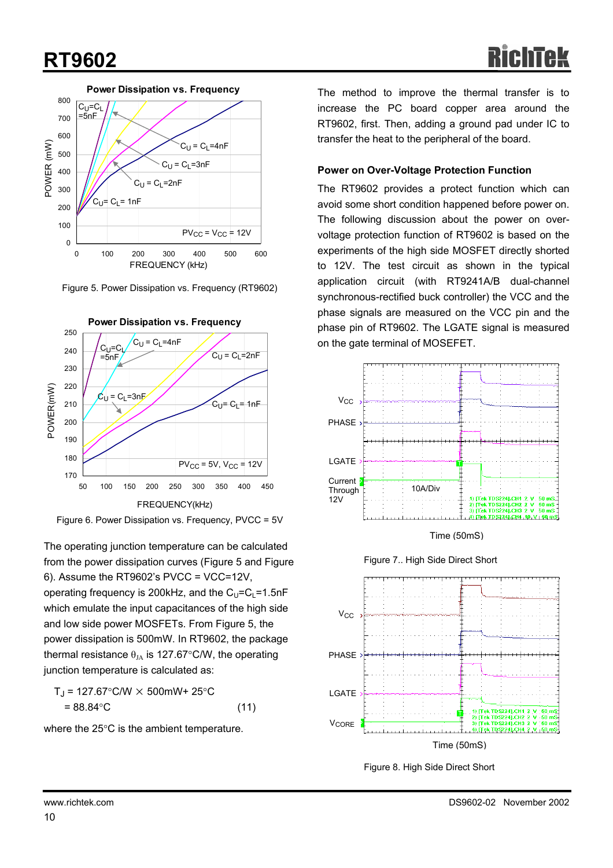## **RT9602**

![](_page_9_Figure_2.jpeg)

Figure 5. Power Dissipation vs. Frequency (RT9602)

![](_page_9_Figure_4.jpeg)

Figure 6. Power Dissipation vs. Frequency, PVCC = 5V

The operating junction temperature can be calculated from the power dissipation curves (Figure 5 and Figure 6). Assume the RT9602's PVCC = VCC=12V, operating frequency is 200kHz, and the  $C_U=C_I=1.5nF$ which emulate the input capacitances of the high side and low side power MOSFETs. From Figure 5, the power dissipation is 500mW. In RT9602, the package thermal resistance  $\theta_{JA}$  is 127.67°C/W, the operating junction temperature is calculated as:

T<sub>J</sub> = 127.67°C/W  $\times$  500mW+ 25°C  $= 88.84^{\circ}$ C (11)

where the 25°C is the ambient temperature.

The method to improve the thermal transfer is to increase the PC board copper area around the RT9602, first. Then, adding a ground pad under IC to transfer the heat to the peripheral of the board.

#### **Power on Over-Voltage Protection Function**

The RT9602 provides a protect function which can avoid some short condition happened before power on. The following discussion about the power on overvoltage protection function of RT9602 is based on the experiments of the high side MOSFET directly shorted to 12V. The test circuit as shown in the typical application circuit (with RT9241A/B dual-channel synchronous-rectified buck controller) the VCC and the phase signals are measured on the VCC pin and the phase pin of RT9602. The LGATE signal is measured on the gate terminal of MOSEFET.

![](_page_9_Figure_12.jpeg)

![](_page_9_Figure_13.jpeg)

![](_page_9_Figure_14.jpeg)

Figure 8. High Side Direct Short

10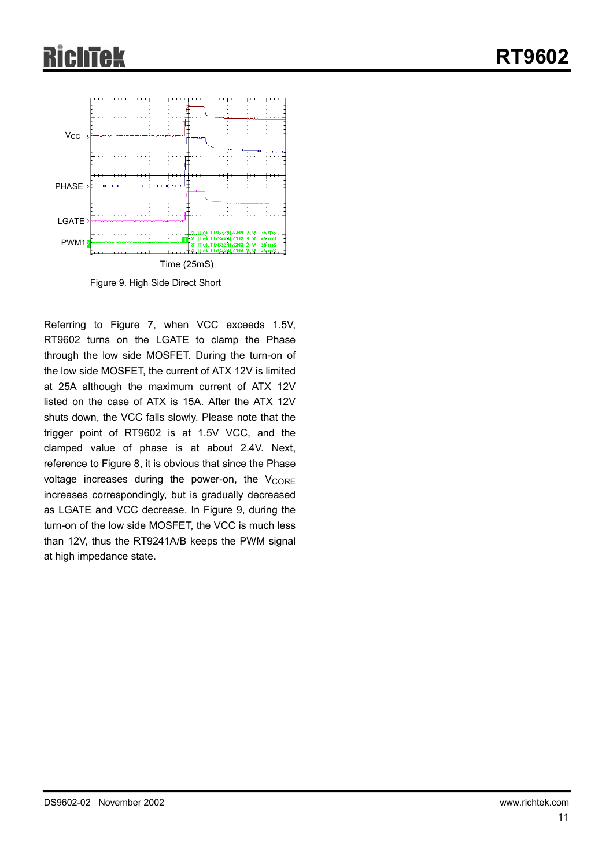# **RT9602**

![](_page_10_Figure_2.jpeg)

Figure 9. High Side Direct Short

Referring to Figure 7, when VCC exceeds 1.5V, RT9602 turns on the LGATE to clamp the Phase through the low side MOSFET. During the turn-on of the low side MOSFET, the current of ATX 12V is limited at 25A although the maximum current of ATX 12V listed on the case of ATX is 15A. After the ATX 12V shuts down, the VCC falls slowly. Please note that the trigger point of RT9602 is at 1.5V VCC, and the clamped value of phase is at about 2.4V. Next, reference to Figure 8, it is obvious that since the Phase voltage increases during the power-on, the  $V_{\text{CORE}}$ increases correspondingly, but is gradually decreased as LGATE and VCC decrease. In Figure 9, during the turn-on of the low side MOSFET, the VCC is much less than 12V, thus the RT9241A/B keeps the PWM signal at high impedance state.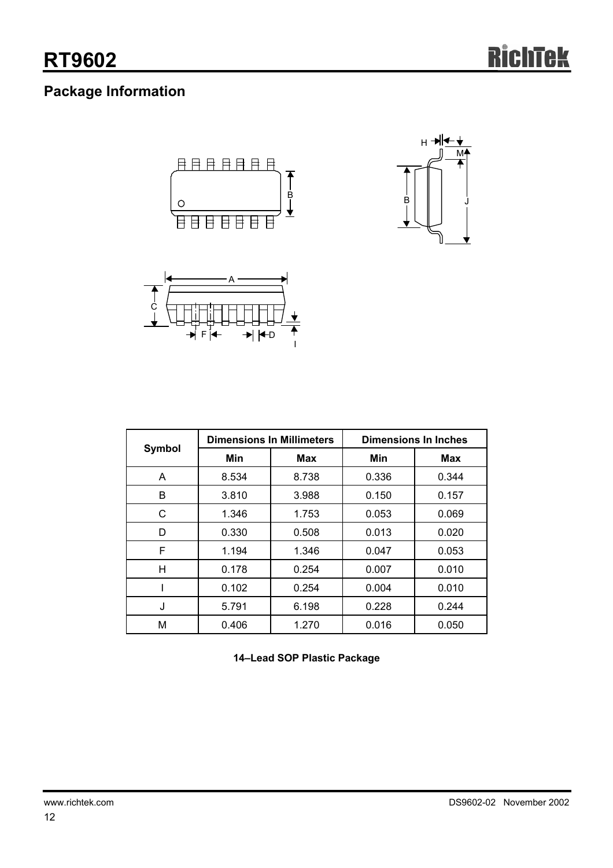M

 $H + \frac{1}{2}$ 

 $\overline{B}$ 

## **Package Information**

![](_page_11_Figure_3.jpeg)

|        | <b>Dimensions In Millimeters</b> |            | <b>Dimensions In Inches</b> |            |  |
|--------|----------------------------------|------------|-----------------------------|------------|--|
| Symbol | Min                              | <b>Max</b> | Min                         | <b>Max</b> |  |
| A      | 8.534                            | 8.738      | 0.336                       | 0.344      |  |
| B      | 3.810                            | 3.988      | 0.150                       | 0.157      |  |
| C      | 1.346                            | 1.753      | 0.053                       | 0.069      |  |
| D      | 0.330                            | 0.508      | 0.013                       | 0.020      |  |
| F      | 1.194                            | 1.346      | 0.047                       | 0.053      |  |
| H      | 0.178                            | 0.254      | 0.007                       | 0.010      |  |
|        | 0.102                            | 0.254      | 0.004                       | 0.010      |  |
| J      | 5.791                            | 6.198      | 0.228                       | 0.244      |  |
| М      | 0.406                            | 1.270      | 0.016                       | 0.050      |  |

**14–Lead SOP Plastic Package**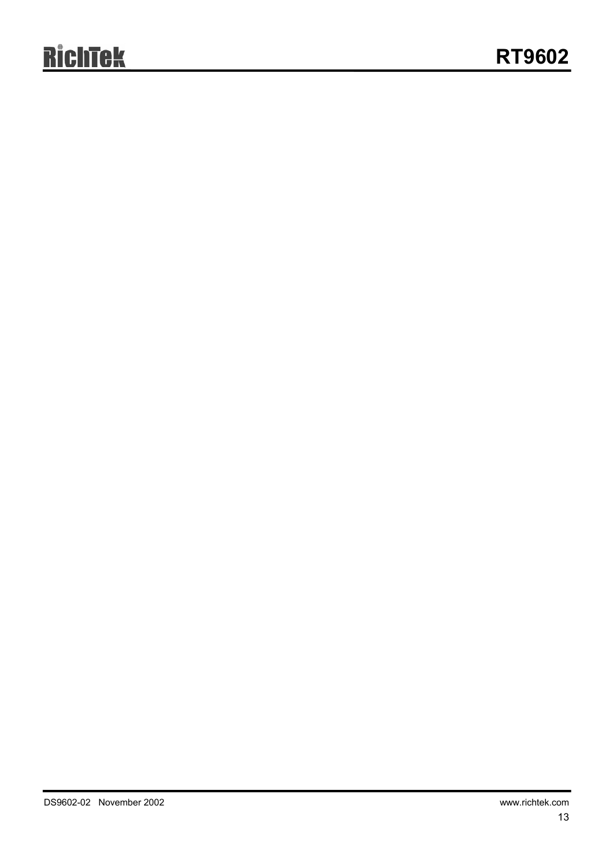## **RİCIITEK** RT9602